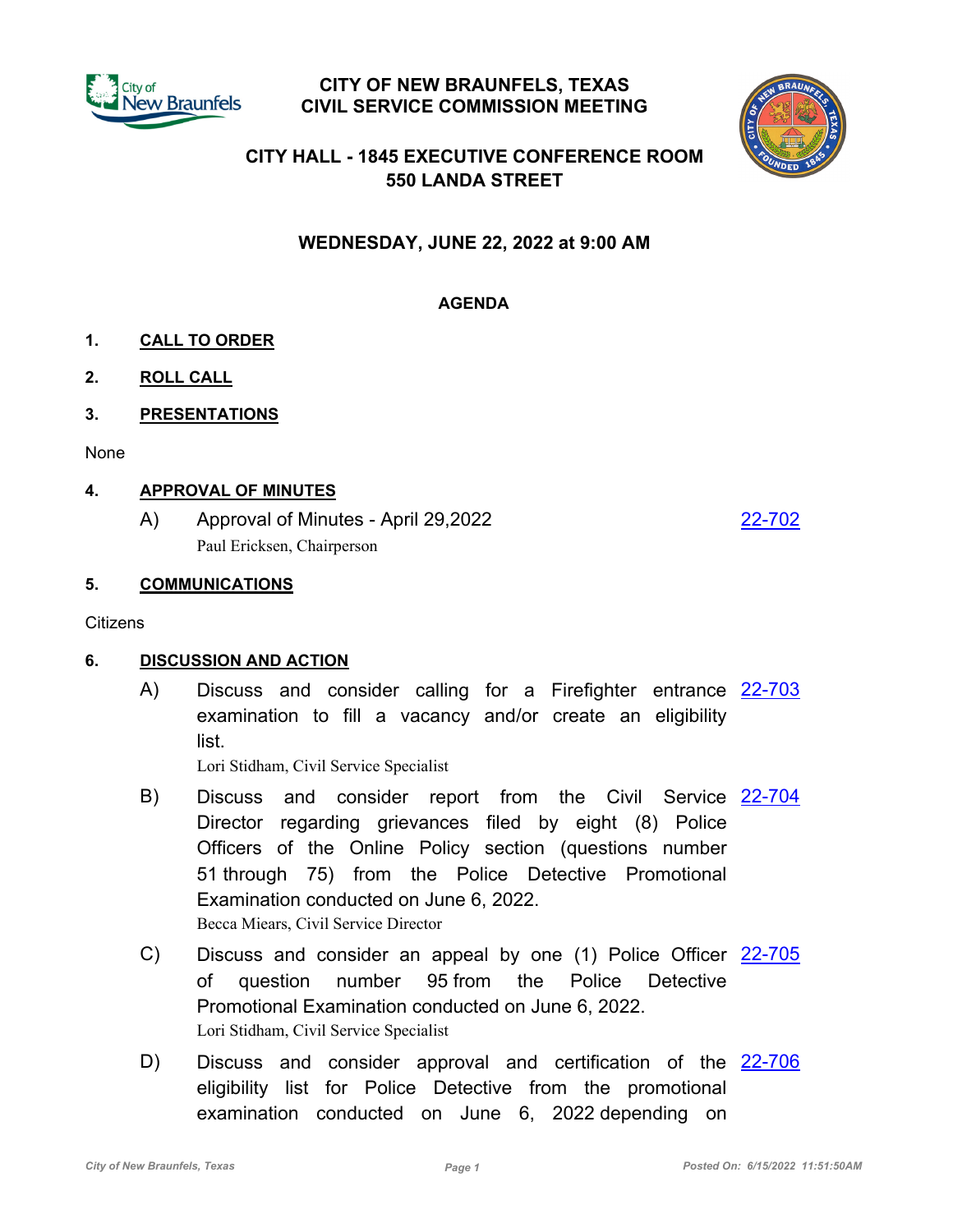

## **CITY OF NEW BRAUNFELS, TEXAS CIVIL SERVICE COMMISSION MEETING**



# **CITY HALL - 1845 EXECUTIVE CONFERENCE ROOM 550 LANDA STREET**

**WEDNESDAY, JUNE 22, 2022 at 9:00 AM**

# **AGENDA**

- **1. CALL TO ORDER**
- **2. ROLL CALL**
- **3. PRESENTATIONS**

None

### **4. APPROVAL OF MINUTES**

A) Approval of Minutes - April 29,2022 [22-702](http://newbraunfels.legistar.com/gateway.aspx?m=l&id=/matter.aspx?key=10717) Paul Ericksen, Chairperson

#### **5. COMMUNICATIONS**

**Citizens** 

### **6. DISCUSSION AND ACTION**

A) Discuss and consider calling for a Firefighter entrance [22-703](http://newbraunfels.legistar.com/gateway.aspx?m=l&id=/matter.aspx?key=10718) examination to fill a vacancy and/or create an eligibility list.

Lori Stidham, Civil Service Specialist

- B) Discuss and consider report from the Civil Service [22-704](http://newbraunfels.legistar.com/gateway.aspx?m=l&id=/matter.aspx?key=10719) Director regarding grievances filed by eight (8) Police Officers of the Online Policy section (questions number 51 through 75) from the Police Detective Promotional Examination conducted on June 6, 2022. Becca Miears, Civil Service Director
- C) Discuss and consider an appeal by one (1) Police Officer [22-705](http://newbraunfels.legistar.com/gateway.aspx?m=l&id=/matter.aspx?key=10720) of question number 95 from the Police Detective Promotional Examination conducted on June 6, 2022. Lori Stidham, Civil Service Specialist
- D) Discuss and consider approval and certification of the [22-706](http://newbraunfels.legistar.com/gateway.aspx?m=l&id=/matter.aspx?key=10721) eligibility list for Police Detective from the promotional examination conducted on June 6, 2022 depending on